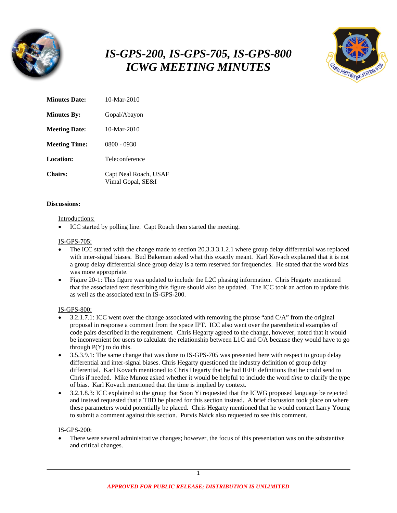

# *IS-GPS-200, IS-GPS-705, IS-GPS-800 ICWG MEETING MINUTES*



| <b>Minutes Date:</b> | 10-Mar-2010                                |
|----------------------|--------------------------------------------|
| <b>Minutes By:</b>   | Gopal/Abayon                               |
| <b>Meeting Date:</b> | 10-Mar-2010                                |
| <b>Meeting Time:</b> | 0800 - 0930                                |
| <b>Location:</b>     | Teleconference                             |
| <b>Chairs:</b>       | Capt Neal Roach, USAF<br>Vimal Gopal, SE&I |

#### **Discussions:**

#### Introductions:

ICC started by polling line. Capt Roach then started the meeting.

#### IS-GPS-705:

- The ICC started with the change made to section 20.3.3.3.1.2.1 where group delay differential was replaced with inter-signal biases. Bud Bakeman asked what this exactly meant. Karl Kovach explained that it is not a group delay differential since group delay is a term reserved for frequencies. He stated that the word bias was more appropriate.
- Figure 20-1: This figure was updated to include the L2C phasing information. Chris Hegarty mentioned that the associated text describing this figure should also be updated. The ICC took an action to update this as well as the associated text in IS-GPS-200.

#### IS-GPS-800:

- 3.2.1.7.1: ICC went over the change associated with removing the phrase "and C/A" from the original proposal in response a comment from the space IPT. ICC also went over the parenthetical examples of code pairs described in the requirement. Chris Hegarty agreed to the change, however, noted that it would be inconvenient for users to calculate the relationship between L1C and C/A because they would have to go through  $P(Y)$  to do this.
- 3.5.3.9.1: The same change that was done to IS-GPS-705 was presented here with respect to group delay differential and inter-signal biases. Chris Hegarty questioned the industry definition of group delay differential. Karl Kovach mentioned to Chris Hegarty that he had IEEE definitions that he could send to Chris if needed. Mike Munoz asked whether it would be helpful to include the word *time* to clarify the type of bias. Karl Kovach mentioned that the time is implied by context.
- 3.2.1.8.3: ICC explained to the group that Soon Yi requested that the ICWG proposed language be rejected and instead requested that a TBD be placed for this section instead. A brief discussion took place on where these parameters would potentially be placed. Chris Hegarty mentioned that he would contact Larry Young to submit a comment against this section. Purvis Naick also requested to see this comment.

#### IS-GPS-200:

 There were several administrative changes; however, the focus of this presentation was on the substantive and critical changes.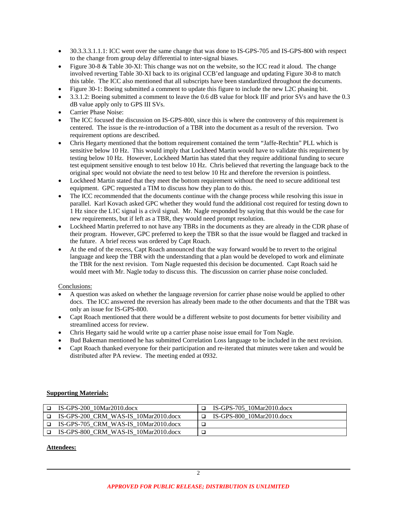- 30.3.3.3.1.1.1: ICC went over the same change that was done to IS-GPS-705 and IS-GPS-800 with respect to the change from group delay differential to inter-signal biases.
- Figure 30-8 & Table 30-XI: This change was not on the website, so the ICC read it aloud. The change involved reverting Table 30-XI back to its original CCB'ed language and updating Figure 30-8 to match this table. The ICC also mentioned that all subscripts have been standardized throughout the documents.
- Figure 30-1: Boeing submitted a comment to update this figure to include the new L2C phasing bit.
- 3.3.1.2: Boeing submitted a comment to leave the 0.6 dB value for block IIF and prior SVs and have the 0.3 dB value apply only to GPS III SVs.
- Carrier Phase Noise:
- The ICC focused the discussion on IS-GPS-800, since this is where the controversy of this requirement is centered. The issue is the re-introduction of a TBR into the document as a result of the reversion. Two requirement options are described.
- Chris Hegarty mentioned that the bottom requirement contained the term "Jaffe-Rechtin" PLL which is sensitive below 10 Hz. This would imply that Lockheed Martin would have to validate this requirement by testing below 10 Hz. However, Lockheed Martin has stated that they require additional funding to secure test equipment sensitive enough to test below 10 Hz. Chris believed that reverting the language back to the original spec would not obviate the need to test below 10 Hz and therefore the reversion is pointless.
- Lockheed Martin stated that they meet the bottom requirement without the need to secure additional test equipment. GPC requested a TIM to discuss how they plan to do this.
- The ICC recommended that the documents continue with the change process while resolving this issue in parallel. Karl Kovach asked GPC whether they would fund the additional cost required for testing down to 1 Hz since the L1C signal is a civil signal. Mr. Nagle responded by saying that this would be the case for new requirements, but if left as a TBR, they would need prompt resolution.
- Lockheed Martin preferred to not have any TBRs in the documents as they are already in the CDR phase of their program. However, GPC preferred to keep the TBR so that the issue would be flagged and tracked in the future. A brief recess was ordered by Capt Roach.
- At the end of the recess, Capt Roach announced that the way forward would be to revert to the original language and keep the TBR with the understanding that a plan would be developed to work and eliminate the TBR for the next revision. Tom Nagle requested this decision be documented. Capt Roach said he would meet with Mr. Nagle today to discuss this. The discussion on carrier phase noise concluded.

#### Conclusions:

- A question was asked on whether the language reversion for carrier phase noise would be applied to other docs. The ICC answered the reversion has already been made to the other documents and that the TBR was only an issue for IS-GPS-800.
- Capt Roach mentioned that there would be a different website to post documents for better visibility and streamlined access for review.
- Chris Hegarty said he would write up a carrier phase noise issue email for Tom Nagle.
- Bud Bakeman mentioned he has submitted Correlation Loss language to be included in the next revision.
- Capt Roach thanked everyone for their participation and re-iterated that minutes were taken and would be distributed after PA review. The meeting ended at 0932.

#### **Supporting Materials:**

| IS-GPS-200 10Mar2010.docx                   | $\Box$ IS-GPS-705 10Mar2010.docx |
|---------------------------------------------|----------------------------------|
| IS-GPS-200 CRM WAS-IS 10Mar2010.docx        | $\Box$ IS-GPS-800 10Mar2010.docx |
| $\Box$ IS-GPS-705 CRM WAS-IS 10Mar2010.docx |                                  |
| IS-GPS-800 CRM WAS-IS 10Mar2010.docx        |                                  |

#### **Attendees:**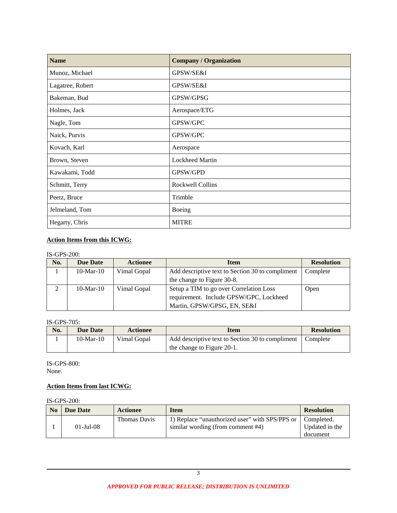| <b>Name</b>      | <b>Company / Organization</b> |
|------------------|-------------------------------|
| Munoz, Michael   | GPSW/SE&I                     |
| Lagatree, Robert | GPSW/SE&I                     |
| Bakeman, Bud     | GPSW/GPSG                     |
| Holmes, Jack     | Aerospace/ETG                 |
| Nagle, Tom       | GPSW/GPC                      |
| Naick, Purvis    | GPSW/GPC                      |
| Kovach, Karl     | Aerospace                     |
| Brown, Steven    | <b>Lockheed Martin</b>        |
| Kawakami, Todd   | GPSW/GPD                      |
| Schmitt, Terry   | Rockwell Collins              |
| Peetz, Bruce     | Trimble                       |
| Jelmeland, Tom   | Boeing                        |
| Hegarty, Chris   | <b>MITRE</b>                  |

# **Action Items from this ICWG:**

### IS-GPS-200:

| No. | <b>Due Date</b> | <b>Actionee</b> | <b>Item</b>                                      | <b>Resolution</b> |
|-----|-----------------|-----------------|--------------------------------------------------|-------------------|
|     | $10$ -Mar- $10$ | Vimal Gopal     | Add descriptive text to Section 30 to compliment | Complete          |
|     |                 |                 | the change to Figure 30-8.                       |                   |
|     | $10-Mar-10$     | Vimal Gopal     | Setup a TIM to go over Correlation Loss          | Open              |
|     |                 |                 | requirement. Include GPSW/GPC, Lockheed          |                   |
|     |                 |                 | Martin, GPSW/GPSG, EN, SE&I                      |                   |

#### IS-GPS-705:

| No. | <b>Due Date</b> | <b>Actionee</b> | Item                                             | <b>Resolution</b> |
|-----|-----------------|-----------------|--------------------------------------------------|-------------------|
|     | $10-Mar-10$     | Vimal Gopal     | Add descriptive text to Section 30 to compliment | Complete          |
|     |                 |                 | the change to Figure 20-1.                       |                   |

IS-GPS-800: None.

# **Action Items from last ICWG:**

#### IS-GPS-200:

| N <sub>0</sub> | <b>Due Date</b> | <b>Actionee</b> | <b>Item</b>                                                                                      | <b>Resolution</b>          |
|----------------|-----------------|-----------------|--------------------------------------------------------------------------------------------------|----------------------------|
|                | $01$ -Jul- $08$ | Thomas Davis    | 1) Replace "unauthorized user" with SPS/PPS or   Completed.<br>similar wording (from comment #4) | Updated in the<br>document |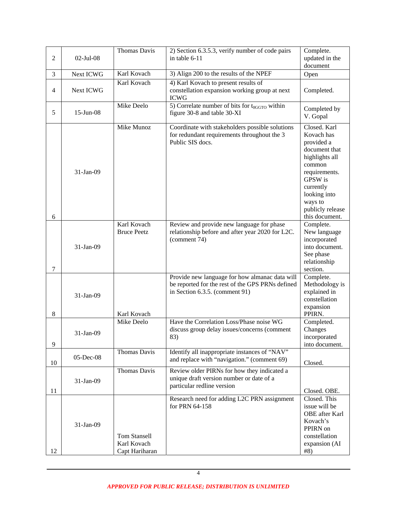| 2  | $02$ -Jul- $08$  | Thomas Davis<br>2) Section 6.3.5.3, verify number of code pairs<br>in table 6-11 |                                                                                                                                         | Complete.<br>updated in the<br>document                                                                                                                                                         |
|----|------------------|----------------------------------------------------------------------------------|-----------------------------------------------------------------------------------------------------------------------------------------|-------------------------------------------------------------------------------------------------------------------------------------------------------------------------------------------------|
| 3  | Next ICWG        | Karl Kovach                                                                      | 3) Align 200 to the results of the NPEF                                                                                                 | Open                                                                                                                                                                                            |
| 4  | <b>Next ICWG</b> | Karl Kovach                                                                      | 4) Karl Kovach to present results of<br>constellation expansion working group at next<br><b>ICWG</b>                                    | Completed.                                                                                                                                                                                      |
| 5  | 15-Jun-08        | Mike Deelo                                                                       | 5) Correlate number of bits for $t_{0GGTO}$ within<br>figure 30-8 and table 30-XI                                                       | Completed by<br>V. Gopal                                                                                                                                                                        |
| 6  | 31-Jan-09        | Mike Munoz                                                                       | Coordinate with stakeholders possible solutions<br>for redundant requirements throughout the 3<br>Public SIS docs.                      | Closed. Karl<br>Kovach has<br>provided a<br>document that<br>highlights all<br>common<br>requirements.<br>GPSW is<br>currently<br>looking into<br>ways to<br>publicly release<br>this document. |
| 7  | 31-Jan-09        | Karl Kovach<br><b>Bruce Peetz</b>                                                | Review and provide new language for phase<br>relationship before and after year 2020 for L2C.<br>(comment 74)                           | Complete.<br>New language<br>incorporated<br>into document.<br>See phase<br>relationship<br>section.                                                                                            |
| 8  | 31-Jan-09        | Karl Kovach                                                                      | Provide new language for how almanac data will<br>be reported for the rest of the GPS PRNs defined<br>in Section $6.3.5$ . (comment 91) | Complete.<br>Methodology is<br>explained in<br>constellation<br>expansion<br>PPIRN.                                                                                                             |
| 9  | 31-Jan-09        | Mike Deelo                                                                       | Have the Correlation Loss/Phase noise WG<br>discuss group delay issues/concerns (comment<br>83)                                         | Completed.<br>Changes<br>incorporated<br>into document.                                                                                                                                         |
| 10 | 05-Dec-08        | Thomas Davis                                                                     | Identify all inappropriate instances of "NAV"<br>and replace with "navigation." (comment 69)                                            | Closed.                                                                                                                                                                                         |
| 11 | 31-Jan-09        | Thomas Davis                                                                     | Review older PIRNs for how they indicated a<br>unique draft version number or date of a<br>particular redline version                   | Closed. OBE.                                                                                                                                                                                    |
| 12 | 31-Jan-09        | Tom Stansell<br>Karl Kovach<br>Capt Hariharan                                    | Research need for adding L2C PRN assignment<br>for PRN 64-158                                                                           | Closed. This<br>issue will be<br>OBE after Karl<br>Kovach's<br>PPIRN on<br>constellation<br>expansion (AI<br>#8)                                                                                |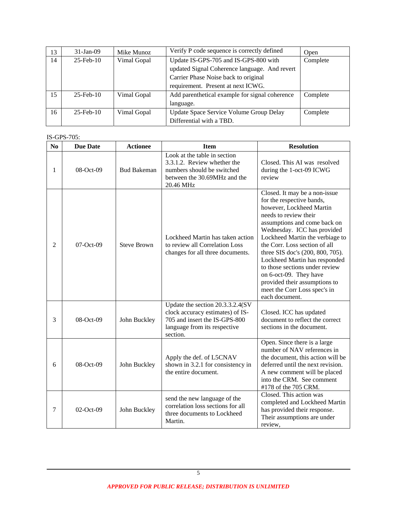| 13 | $31$ -Jan-09           | Mike Munoz  | Verify P code sequence is correctly defined    | Open     |
|----|------------------------|-------------|------------------------------------------------|----------|
| 14 | $25$ -Feb-10           | Vimal Gopal | Update IS-GPS-705 and IS-GPS-800 with          | Complete |
|    |                        |             | updated Signal Coherence language. And revert  |          |
|    |                        |             | Carrier Phase Noise back to original           |          |
|    |                        |             | requirement. Present at next ICWG.             |          |
| 15 | $25$ -Feb-10           | Vimal Gopal | Add parenthetical example for signal coherence | Complete |
|    |                        |             | language.                                      |          |
| 16 | $25 - \text{Feb} - 10$ | Vimal Gopal | Update Space Service Volume Group Delay        | Complete |
|    |                        |             | Differential with a TBD.                       |          |

#### IS-GPS-705:

| N <sub>0</sub> | <b>Due Date</b> | <b>Actionee</b>    | <b>Item</b>                                                                                                                                       | <b>Resolution</b>                                                                                                                                                                                                                                                                                                                                                                                                                                                      |
|----------------|-----------------|--------------------|---------------------------------------------------------------------------------------------------------------------------------------------------|------------------------------------------------------------------------------------------------------------------------------------------------------------------------------------------------------------------------------------------------------------------------------------------------------------------------------------------------------------------------------------------------------------------------------------------------------------------------|
| 1              | 08-Oct-09       | <b>Bud Bakeman</b> | Look at the table in section<br>3.3.1.2. Review whether the<br>numbers should be switched<br>between the 30.69MHz and the<br>20.46 MHz            | Closed. This AI was resolved<br>during the 1-oct-09 ICWG<br>review                                                                                                                                                                                                                                                                                                                                                                                                     |
| $\overline{2}$ | 07-Oct-09       | <b>Steve Brown</b> | Lockheed Martin has taken action<br>to review all Correlation Loss<br>changes for all three documents.                                            | Closed. It may be a non-issue<br>for the respective bands,<br>however, Lockheed Martin<br>needs to review their<br>assumptions and come back on<br>Wednesday. ICC has provided<br>Lockheed Martin the verbiage to<br>the Corr. Loss section of all<br>three SIS doc's (200, 800, 705).<br>Lockheed Martin has responded<br>to those sections under review<br>on 6-oct-09. They have<br>provided their assumptions to<br>meet the Corr Loss spec's in<br>each document. |
| 3              | 08-Oct-09       | John Buckley       | Update the section 20.3.3.2.4(SV<br>clock accuracy estimates) of IS-<br>705 and insert the IS-GPS-800<br>language from its respective<br>section. | Closed. ICC has updated<br>document to reflect the correct<br>sections in the document.                                                                                                                                                                                                                                                                                                                                                                                |
| 6              | 08-Oct-09       | John Buckley       | Apply the def. of L5CNAV<br>shown in 3.2.1 for consistency in<br>the entire document.                                                             | Open. Since there is a large<br>number of NAV references in<br>the document, this action will be<br>deferred until the next revision.<br>A new comment will be placed<br>into the CRM. See comment<br>#178 of the 705 CRM.                                                                                                                                                                                                                                             |
| 7              | 02-Oct-09       | John Buckley       | send the new language of the<br>correlation loss sections for all<br>three documents to Lockheed<br>Martin.                                       | Closed. This action was<br>completed and Lockheed Martin<br>has provided their response.<br>Their assumptions are under<br>review,                                                                                                                                                                                                                                                                                                                                     |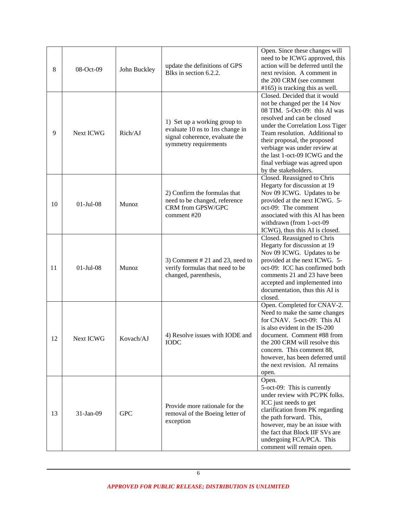| 8  | 08-Oct-09        | John Buckley | update the definitions of GPS<br>Blks in section 6.2.2.                                                                    | Open. Since these changes will<br>need to be ICWG approved, this<br>action will be deferred until the<br>next revision. A comment in<br>the 200 CRM (see comment<br>$#165$ ) is tracking this as well.                                                                                                                                                          |
|----|------------------|--------------|----------------------------------------------------------------------------------------------------------------------------|-----------------------------------------------------------------------------------------------------------------------------------------------------------------------------------------------------------------------------------------------------------------------------------------------------------------------------------------------------------------|
| 9  | <b>Next ICWG</b> | Rich/AJ      | 1) Set up a working group to<br>evaluate 10 ns to 1ns change in<br>signal coherence, evaluate the<br>symmetry requirements | Closed. Decided that it would<br>not be changed per the 14 Nov<br>08 TIM. 5-Oct-09: this AI was<br>resolved and can be closed<br>under the Correlation Loss Tiger<br>Team resolution. Additional to<br>their proposal, the proposed<br>verbiage was under review at<br>the last 1-oct-09 ICWG and the<br>final verbiage was agreed upon<br>by the stakeholders. |
| 10 | $01-Ju1-08$      | Munoz        | 2) Confirm the formulas that<br>need to be changed, reference<br>CRM from GPSW/GPC<br>comment #20                          | Closed. Reassigned to Chris<br>Hegarty for discussion at 19<br>Nov 09 ICWG. Updates to be<br>provided at the next ICWG. 5-<br>oct-09: The comment<br>associated with this AI has been<br>withdrawn (from 1-oct-09<br>ICWG), thus this AI is closed.                                                                                                             |
| 11 | $01-Ju1-08$      | Munoz        | 3) Comment $#21$ and 23, need to<br>verify formulas that need to be<br>changed, parenthesis,                               | Closed. Reassigned to Chris<br>Hegarty for discussion at 19<br>Nov 09 ICWG. Updates to be<br>provided at the next ICWG. 5-<br>oct-09: ICC has confirmed both<br>comments 21 and 23 have been<br>accepted and implemented into<br>documentation, thus this AI is<br>closed.                                                                                      |
| 12 | Next ICWG        | Kovach/AJ    | 4) Resolve issues with IODE and<br><b>IODC</b>                                                                             | Open. Completed for CNAV-2.<br>Need to make the same changes<br>for CNAV. 5-oct-09: This AI<br>is also evident in the IS-200<br>document. Comment #88 from<br>the 200 CRM will resolve this<br>concern. This comment 88,<br>however, has been deferred until<br>the next revision. AI remains<br>open.                                                          |
| 13 | 31-Jan-09        | <b>GPC</b>   | Provide more rationale for the<br>removal of the Boeing letter of<br>exception                                             | Open.<br>5-oct-09: This is currently<br>under review with PC/PK folks.<br>ICC just needs to get<br>clarification from PK regarding<br>the path forward. This,<br>however, may be an issue with<br>the fact that Block IIF SVs are<br>undergoing FCA/PCA. This<br>comment will remain open.                                                                      |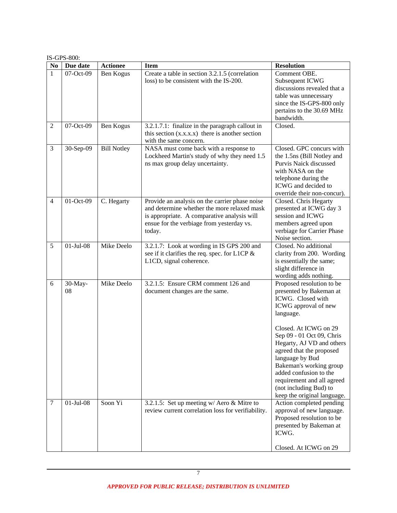|                | IS-GPS-800:   |                    |                                                                                                                                                                                                     |                                                                                                                                                                                                                                                                                                                                                                                              |  |  |  |
|----------------|---------------|--------------------|-----------------------------------------------------------------------------------------------------------------------------------------------------------------------------------------------------|----------------------------------------------------------------------------------------------------------------------------------------------------------------------------------------------------------------------------------------------------------------------------------------------------------------------------------------------------------------------------------------------|--|--|--|
| N <sub>0</sub> | Due date      | <b>Actionee</b>    | <b>Item</b>                                                                                                                                                                                         | <b>Resolution</b>                                                                                                                                                                                                                                                                                                                                                                            |  |  |  |
| 1              | 07-Oct-09     | Ben Kogus          | Create a table in section 3.2.1.5 (correlation<br>loss) to be consistent with the IS-200.                                                                                                           | Comment OBE.<br>Subsequent ICWG<br>discussions revealed that a<br>table was unnecessary<br>since the IS-GPS-800 only<br>pertains to the 30.69 MHz<br>bandwidth.                                                                                                                                                                                                                              |  |  |  |
| 2              | 07-Oct-09     | Ben Kogus          | 3.2.1.7.1: finalize in the paragraph callout in<br>this section $(x.x.x.x)$ there is another section<br>with the same concern.                                                                      | Closed.                                                                                                                                                                                                                                                                                                                                                                                      |  |  |  |
| $\overline{3}$ | 30-Sep-09     | <b>Bill Notley</b> | NASA must come back with a response to<br>Lockheed Martin's study of why they need 1.5<br>ns max group delay uncertainty.                                                                           | Closed. GPC concurs with<br>the 1.5ns (Bill Notley and<br>Purvis Naick discussed<br>with NASA on the<br>telephone during the<br>ICWG and decided to<br>override their non-concur).                                                                                                                                                                                                           |  |  |  |
| $\overline{4}$ | 01-Oct-09     | C. Hegarty         | Provide an analysis on the carrier phase noise<br>and determine whether the more relaxed mask<br>is appropriate. A comparative analysis will<br>ensue for the verbiage from yesterday vs.<br>today. | Closed. Chris Hegarty<br>presented at ICWG day 3<br>session and ICWG<br>members agreed upon<br>verbiage for Carrier Phase<br>Noise section.                                                                                                                                                                                                                                                  |  |  |  |
| 5              | $01-Jul-08$   | Mike Deelo         | 3.2.1.7: Look at wording in IS GPS 200 and<br>see if it clarifies the req. spec. for L1CP &<br>L1CD, signal coherence.                                                                              | Closed. No additional<br>clarity from 200. Wording<br>is essentially the same;<br>slight difference in<br>wording adds nothing.                                                                                                                                                                                                                                                              |  |  |  |
| 6              | 30-May-<br>08 | Mike Deelo         | 3.2.1.5: Ensure CRM comment 126 and<br>document changes are the same.                                                                                                                               | Proposed resolution to be<br>presented by Bakeman at<br>ICWG. Closed with<br>ICWG approval of new<br>language.<br>Closed. At ICWG on 29<br>Sep 09 - 01 Oct 09, Chris<br>Hegarty, AJ VD and others<br>agreed that the proposed<br>language by Bud<br>Bakeman's working group<br>added confusion to the<br>requirement and all agreed<br>(not including Bud) to<br>keep the original language. |  |  |  |
| 7              | $01-Jul-08$   | Soon Yi            | 3.2.1.5: Set up meeting w/ Aero & Mitre to<br>review current correlation loss for verifiability.                                                                                                    | Action completed pending<br>approval of new language.<br>Proposed resolution to be<br>presented by Bakeman at<br>ICWG.<br>Closed. At ICWG on 29                                                                                                                                                                                                                                              |  |  |  |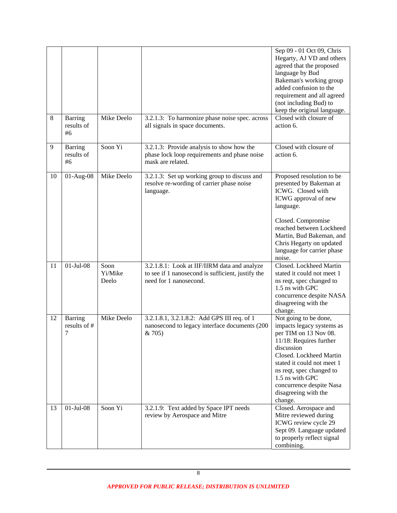|    |                                    |                          |                                                                                                                             | Sep 09 - 01 Oct 09, Chris<br>Hegarty, AJ VD and others<br>agreed that the proposed<br>language by Bud<br>Bakeman's working group<br>added confusion to the<br>requirement and all agreed<br>(not including Bud) to<br>keep the original language.                                           |
|----|------------------------------------|--------------------------|-----------------------------------------------------------------------------------------------------------------------------|---------------------------------------------------------------------------------------------------------------------------------------------------------------------------------------------------------------------------------------------------------------------------------------------|
| 8  | <b>Barring</b><br>results of<br>#6 | Mike Deelo               | 3.2.1.3: To harmonize phase noise spec. across<br>all signals in space documents.                                           | Closed with closure of<br>action 6.                                                                                                                                                                                                                                                         |
| 9  | <b>Barring</b><br>results of<br>#6 | Soon Yi                  | 3.2.1.3: Provide analysis to show how the<br>phase lock loop requirements and phase noise<br>mask are related.              | Closed with closure of<br>action 6.                                                                                                                                                                                                                                                         |
| 10 | $01-Aug-08$                        | Mike Deelo               | 3.2.1.3: Set up working group to discuss and<br>resolve re-wording of carrier phase noise<br>language.                      | Proposed resolution to be<br>presented by Bakeman at<br>ICWG. Closed with<br>ICWG approval of new<br>language.<br>Closed. Compromise<br>reached between Lockheed<br>Martin, Bud Bakeman, and<br>Chris Hegarty on updated<br>language for carrier phase<br>noise.                            |
| 11 | $01-Jul-08$                        | Soon<br>Yi/Mike<br>Deelo | 3.2.1.8.1: Look at IIF/IIRM data and analyze<br>to see if 1 nanosecond is sufficient, justify the<br>need for 1 nanosecond. | Closed. Lockheed Martin<br>stated it could not meet 1<br>ns reqt, spec changed to<br>1.5 ns with GPC<br>concurrence despite NASA<br>disagreeing with the<br>change.                                                                                                                         |
| 12 | Barring<br>results of #<br>7       | Mike Deelo               | 3.2.1.8.1, 3.2.1.8.2: Add GPS III req. of 1<br>nanosecond to legacy interface documents (200<br>& 705)                      | Not going to be done,<br>impacts legacy systems as<br>per TIM on 13 Nov 08.<br>11/18: Requires further<br>discussion<br>Closed. Lockheed Martin<br>stated it could not meet 1<br>ns reqt, spec changed to<br>1.5 ns with GPC<br>concurrence despite Nasa<br>disagreeing with the<br>change. |
| 13 | $01-Jul-08$                        | Soon Yi                  | 3.2.1.9: Text added by Space IPT needs<br>review by Aerospace and Mitre                                                     | Closed. Aerospace and<br>Mitre reviewed during<br>ICWG review cycle 29<br>Sept 09. Language updated<br>to properly reflect signal<br>combining.                                                                                                                                             |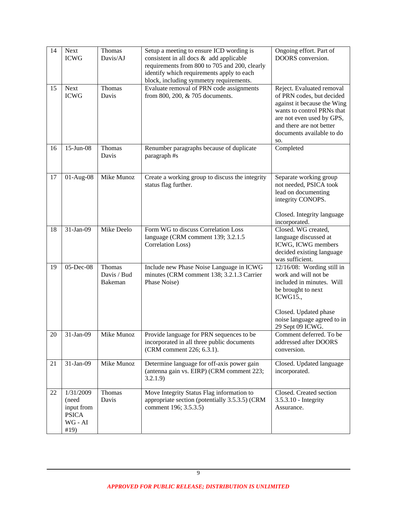| 14 | Next<br><b>ICWG</b>                                                 | Thomas<br>Davis/AJ               | Setup a meeting to ensure ICD wording is<br>consistent in all docs & add applicable<br>requirements from 800 to 705 and 200, clearly<br>identify which requirements apply to each<br>block, including symmetry requirements. | Ongoing effort. Part of<br>DOORS conversion.                                                                                                                                                                     |
|----|---------------------------------------------------------------------|----------------------------------|------------------------------------------------------------------------------------------------------------------------------------------------------------------------------------------------------------------------------|------------------------------------------------------------------------------------------------------------------------------------------------------------------------------------------------------------------|
| 15 | Next<br><b>ICWG</b>                                                 | Thomas<br>Davis                  | Evaluate removal of PRN code assignments<br>from 800, 200, & 705 documents.                                                                                                                                                  | Reject. Evaluated removal<br>of PRN codes, but decided<br>against it because the Wing<br>wants to control PRNs that<br>are not even used by GPS,<br>and there are not better<br>documents available to do<br>SO. |
| 16 | 15-Jun-08                                                           | Thomas<br>Davis                  | Renumber paragraphs because of duplicate<br>paragraph #s                                                                                                                                                                     | Completed                                                                                                                                                                                                        |
| 17 | 01-Aug-08                                                           | Mike Munoz                       | Create a working group to discuss the integrity<br>status flag further.                                                                                                                                                      | Separate working group<br>not needed, PSICA took<br>lead on documenting<br>integrity CONOPS.<br>Closed. Integrity language<br>incorporated.                                                                      |
| 18 | 31-Jan-09                                                           | Mike Deelo                       | Form WG to discuss Correlation Loss<br>language (CRM comment 139; 3.2.1.5<br>Correlation Loss)                                                                                                                               | Closed. WG created,<br>language discussed at<br>ICWG, ICWG members<br>decided existing language<br>was sufficient.                                                                                               |
| 19 | 05-Dec-08                                                           | Thomas<br>Davis / Bud<br>Bakeman | Include new Phase Noise Language in ICWG<br>minutes (CRM comment 138; 3.2.1.3 Carrier<br>Phase Noise)                                                                                                                        | 12/16/08: Wording still in<br>work and will not be<br>included in minutes. Will<br>be brought to next<br>ICWG15.,                                                                                                |
|    |                                                                     |                                  |                                                                                                                                                                                                                              | Closed. Updated phase<br>noise language agreed to in<br>29 Sept 09 ICWG.                                                                                                                                         |
| 20 | 31-Jan-09                                                           | Mike Munoz                       | Provide language for PRN sequences to be<br>incorporated in all three public documents<br>(CRM comment 226; 6.3.1).                                                                                                          | Comment deferred. To be<br>addressed after DOORS<br>conversion.                                                                                                                                                  |
| 21 | 31-Jan-09                                                           | Mike Munoz                       | Determine language for off-axis power gain<br>(antenna gain vs. EIRP) (CRM comment 223;<br>3.2.1.9                                                                                                                           | Closed. Updated language<br>incorporated.                                                                                                                                                                        |
| 22 | 1/31/2009<br>(need<br>input from<br><b>PSICA</b><br>WG - AI<br>#19) | Thomas<br>Davis                  | Move Integrity Status Flag information to<br>appropriate section (potentially 3.5.3.5) (CRM<br>comment 196; 3.5.3.5)                                                                                                         | Closed. Created section<br>3.5.3.10 - Integrity<br>Assurance.                                                                                                                                                    |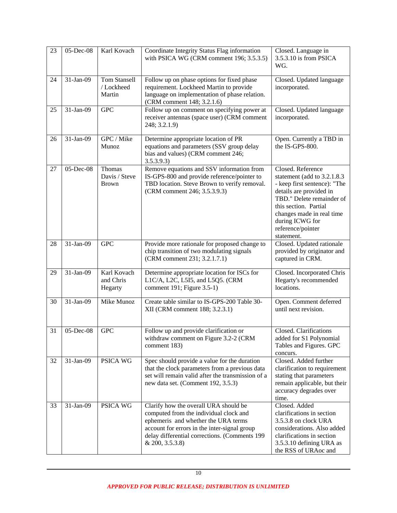| 23 | 05-Dec-08 | Karl Kovach                                 | Coordinate Integrity Status Flag information<br>with PSICA WG (CRM comment 196; 3.5.3.5)                                                                                                                                                   | Closed. Language in<br>3.5.3.10 is from PSICA<br>WG.                                                                                                                                                                                                  |
|----|-----------|---------------------------------------------|--------------------------------------------------------------------------------------------------------------------------------------------------------------------------------------------------------------------------------------------|-------------------------------------------------------------------------------------------------------------------------------------------------------------------------------------------------------------------------------------------------------|
| 24 | 31-Jan-09 | <b>Tom Stansell</b><br>/ Lockheed<br>Martin | Follow up on phase options for fixed phase<br>requirement. Lockheed Martin to provide<br>language on implementation of phase relation.<br>(CRM comment 148; 3.2.1.6)                                                                       | Closed. Updated language<br>incorporated.                                                                                                                                                                                                             |
| 25 | 31-Jan-09 | <b>GPC</b>                                  | Follow up on comment on specifying power at<br>receiver antennas (space user) (CRM comment<br>248; 3.2.1.9)                                                                                                                                | Closed. Updated language<br>incorporated.                                                                                                                                                                                                             |
| 26 | 31-Jan-09 | GPC / Mike<br>Munoz                         | Determine appropriate location of PR<br>equations and parameters (SSV group delay<br>bias and values) (CRM comment 246;<br>3.5.3.9.3)                                                                                                      | Open. Currently a TBD in<br>the IS-GPS-800.                                                                                                                                                                                                           |
| 27 | 05-Dec-08 | Thomas<br>Davis / Steve<br><b>Brown</b>     | Remove equations and SSV information from<br>IS-GPS-800 and provide reference/pointer to<br>TBD location. Steve Brown to verify removal.<br>(CRM comment 246; 3.5.3.9.3)                                                                   | Closed. Reference<br>statement (add to 3.2.1.8.3)<br>- keep first sentence): "The<br>details are provided in<br>TBD." Delete remainder of<br>this section. Partial<br>changes made in real time<br>during ICWG for<br>reference/pointer<br>statement. |
| 28 | 31-Jan-09 | <b>GPC</b>                                  | Provide more rationale for proposed change to<br>chip transition of two modulating signals<br>(CRM comment 231; 3.2.1.7.1)                                                                                                                 | Closed. Updated rationale<br>provided by originator and<br>captured in CRM.                                                                                                                                                                           |
| 29 | 31-Jan-09 | Karl Kovach<br>and Chris<br>Hegarty         | Determine appropriate location for ISCs for<br>L1C/A, L2C, L5I5, and L5Q5. (CRM<br>comment 191; Figure 3.5-1)                                                                                                                              | Closed. Incorporated Chris<br>Hegarty's recommended<br>locations.                                                                                                                                                                                     |
| 30 | 31-Jan-09 | Mike Munoz                                  | Create table similar to IS-GPS-200 Table 30-<br>XII (CRM comment 188; 3.2.3.1)                                                                                                                                                             | Open. Comment deferred<br>until next revision.                                                                                                                                                                                                        |
| 31 | 05-Dec-08 | <b>GPC</b>                                  | Follow up and provide clarification or<br>withdraw comment on Figure 3.2-2 (CRM<br>comment 183)                                                                                                                                            | Closed. Clarifications<br>added for S1 Polynomial<br>Tables and Figures. GPC<br>concurs.                                                                                                                                                              |
| 32 | 31-Jan-09 | PSICA WG                                    | Spec should provide a value for the duration<br>that the clock parameters from a previous data<br>set will remain valid after the transmission of a<br>new data set. (Comment 192, 3.5.3)                                                  | Closed. Added further<br>clarification to requirement<br>stating that parameters<br>remain applicable, but their<br>accuracy degrades over<br>time.                                                                                                   |
| 33 | 31-Jan-09 | <b>PSICA WG</b>                             | Clarify how the overall URA should be<br>computed from the individual clock and<br>ephemeris and whether the URA terms<br>account for errors in the inter-signal group<br>delay differential corrections. (Comments 199<br>& 200, 3.5.3.8) | Closed. Added<br>clarifications in section<br>3.5.3.8 on clock URA<br>considerations. Also added<br>clarifications in section<br>3.5.3.10 defining URA as<br>the RSS of URAoc and                                                                     |